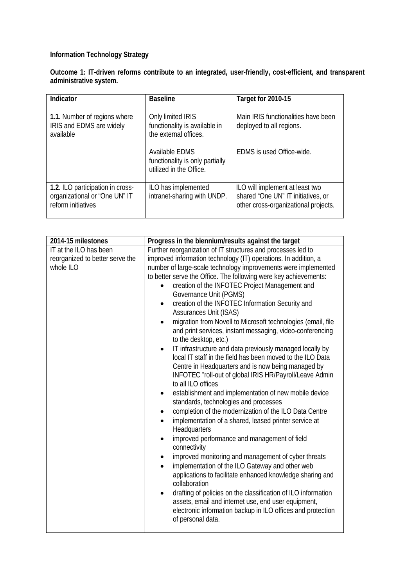## **Information Technology Strategy**

**Outcome 1: IT-driven reforms contribute to an integrated, user-friendly, cost-efficient, and transparent administrative system.**

| Indicator                                                                               | <b>Baseline</b>                                                              | Target for 2010-15                                                                                            |
|-----------------------------------------------------------------------------------------|------------------------------------------------------------------------------|---------------------------------------------------------------------------------------------------------------|
| 1.1. Number of regions where<br>IRIS and EDMS are widely<br>available                   | Only limited IRIS<br>functionality is available in<br>the external offices.  | Main IRIS functionalities have been<br>deployed to all regions.                                               |
|                                                                                         | Available EDMS<br>functionality is only partially<br>utilized in the Office. | EDMS is used Office-wide.                                                                                     |
| 1.2. ILO participation in cross-<br>organizational or "One UN" IT<br>reform initiatives | ILO has implemented<br>intranet-sharing with UNDP.                           | ILO will implement at least two<br>shared "One UN" IT initiatives, or<br>other cross-organizational projects. |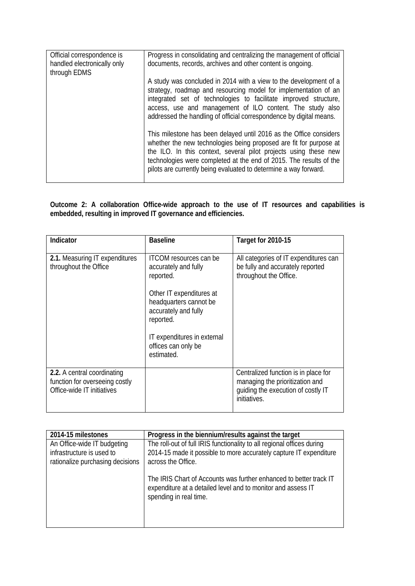| Official correspondence is<br>handled electronically only<br>through EDMS | Progress in consolidating and centralizing the management of official<br>documents, records, archives and other content is ongoing.                                                                                                                                                                                                                                                                                |
|---------------------------------------------------------------------------|--------------------------------------------------------------------------------------------------------------------------------------------------------------------------------------------------------------------------------------------------------------------------------------------------------------------------------------------------------------------------------------------------------------------|
|                                                                           | A study was concluded in 2014 with a view to the development of a<br>strategy, roadmap and resourcing model for implementation of an<br>integrated set of technologies to facilitate improved structure,<br>access, use and management of ILO content. The study also<br>addressed the handling of official correspondence by digital means.<br>This milestone has been delayed until 2016 as the Office considers |
|                                                                           | whether the new technologies being proposed are fit for purpose at<br>the ILO. In this context, several pilot projects using these new<br>technologies were completed at the end of 2015. The results of the<br>pilots are currently being evaluated to determine a way forward.                                                                                                                                   |

**Outcome 2: A collaboration Office-wide approach to the use of IT resources and capabilities is embedded, resulting in improved IT governance and efficiencies.**

| Indicator                                                                                   | <b>Baseline</b>                                                                                                                                               | <b>Target for 2010-15</b>                                                                                                     |
|---------------------------------------------------------------------------------------------|---------------------------------------------------------------------------------------------------------------------------------------------------------------|-------------------------------------------------------------------------------------------------------------------------------|
| 2.1. Measuring IT expenditures<br>throughout the Office                                     | <b>ITCOM</b> resources can be<br>accurately and fully<br>reported.<br>Other IT expenditures at<br>headquarters cannot be<br>accurately and fully<br>reported. | All categories of IT expenditures can<br>be fully and accurately reported<br>throughout the Office.                           |
|                                                                                             | IT expenditures in external<br>offices can only be<br>estimated.                                                                                              |                                                                                                                               |
| 2.2. A central coordinating<br>function for overseeing costly<br>Office-wide IT initiatives |                                                                                                                                                               | Centralized function is in place for<br>managing the prioritization and<br>quiding the execution of costly IT<br>initiatives. |

| 2014-15 milestones               | Progress in the biennium/results against the target                                                                                                          |
|----------------------------------|--------------------------------------------------------------------------------------------------------------------------------------------------------------|
| An Office-wide IT budgeting      | The roll-out of full IRIS functionality to all regional offices during                                                                                       |
| infrastructure is used to        | 2014-15 made it possible to more accurately capture IT expenditure                                                                                           |
| rationalize purchasing decisions | across the Office.                                                                                                                                           |
|                                  | The IRIS Chart of Accounts was further enhanced to better track IT<br>expenditure at a detailed level and to monitor and assess IT<br>spending in real time. |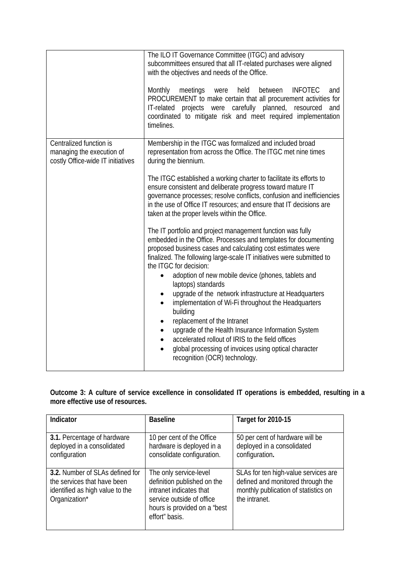|                                                                                           | The ILO IT Governance Committee (ITGC) and advisory<br>subcommittees ensured that all IT-related purchases were aligned<br>with the objectives and needs of the Office.<br>Monthly meetings<br>held<br>between<br><b>INFOTEC</b><br>were<br>and<br>PROCUREMENT to make certain that all procurement activities for<br>IT-related projects were carefully planned, resourced<br>and<br>coordinated to mitigate risk and meet required implementation<br>timelines.                                                                                                                                                                                                                                                                                                                                           |
|-------------------------------------------------------------------------------------------|-------------------------------------------------------------------------------------------------------------------------------------------------------------------------------------------------------------------------------------------------------------------------------------------------------------------------------------------------------------------------------------------------------------------------------------------------------------------------------------------------------------------------------------------------------------------------------------------------------------------------------------------------------------------------------------------------------------------------------------------------------------------------------------------------------------|
| Centralized function is<br>managing the execution of<br>costly Office-wide IT initiatives | Membership in the ITGC was formalized and included broad<br>representation from across the Office. The ITGC met nine times<br>during the biennium.<br>The ITGC established a working charter to facilitate its efforts to<br>ensure consistent and deliberate progress toward mature IT<br>governance processes; resolve conflicts, confusion and inefficiencies<br>in the use of Office IT resources; and ensure that IT decisions are<br>taken at the proper levels within the Office.                                                                                                                                                                                                                                                                                                                    |
|                                                                                           | The IT portfolio and project management function was fully<br>embedded in the Office. Processes and templates for documenting<br>proposed business cases and calculating cost estimates were<br>finalized. The following large-scale IT initiatives were submitted to<br>the ITGC for decision:<br>adoption of new mobile device (phones, tablets and<br>laptops) standards<br>upgrade of the network infrastructure at Headquarters<br>$\bullet$<br>implementation of Wi-Fi throughout the Headquarters<br>$\bullet$<br>building<br>replacement of the Intranet<br>$\bullet$<br>upgrade of the Health Insurance Information System<br>$\bullet$<br>accelerated rollout of IRIS to the field offices<br>$\bullet$<br>global processing of invoices using optical character<br>recognition (OCR) technology. |

| Outcome 3: A culture of service excellence in consolidated IT operations is embedded, resulting in a |  |  |  |
|------------------------------------------------------------------------------------------------------|--|--|--|
| more effective use of resources.                                                                     |  |  |  |

| Indicator                                                                                                          | <b>Baseline</b>                                                                                                                                                 | Target for 2010-15                                                                                                                 |
|--------------------------------------------------------------------------------------------------------------------|-----------------------------------------------------------------------------------------------------------------------------------------------------------------|------------------------------------------------------------------------------------------------------------------------------------|
| 3.1. Percentage of hardware<br>deployed in a consolidated<br>configuration                                         | 10 per cent of the Office<br>hardware is deployed in a<br>consolidate configuration.                                                                            | 50 per cent of hardware will be<br>deployed in a consolidated<br>configuration.                                                    |
| 3.2. Number of SLAs defined for<br>the services that have been<br>identified as high value to the<br>Organization* | The only service-level<br>definition published on the<br>intranet indicates that<br>service outside of office<br>hours is provided on a "best<br>effort" basis. | SLAs for ten high-value services are<br>defined and monitored through the<br>monthly publication of statistics on<br>the intranet. |